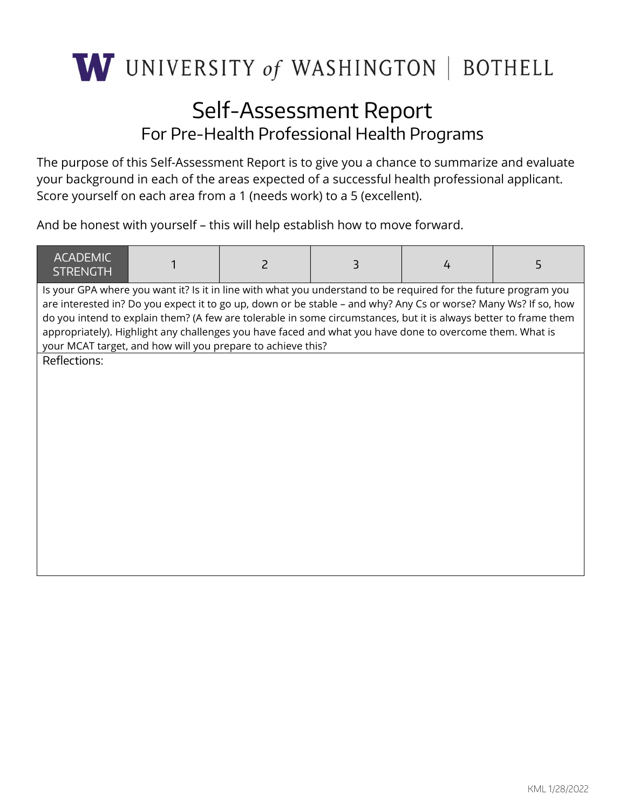

## Self-Assessment Report For Pre-Health Professional Health Programs

The purpose of this Self-Assessment Report is to give you a chance to summarize and evaluate your background in each of the areas expected of a successful health professional applicant. Score yourself on each area from a 1 (needs work) to a 5 (excellent).

And be honest with yourself – this will help establish how to move forward.

| <b>ACADEMIC</b><br><b>STRENGTH</b> |                                                             | 2 | 3                                                                                                                                                                                                                                                                                                                                                                                                                                                                  | 4 | 5 |
|------------------------------------|-------------------------------------------------------------|---|--------------------------------------------------------------------------------------------------------------------------------------------------------------------------------------------------------------------------------------------------------------------------------------------------------------------------------------------------------------------------------------------------------------------------------------------------------------------|---|---|
|                                    | your MCAT target, and how will you prepare to achieve this? |   | Is your GPA where you want it? Is it in line with what you understand to be required for the future program you<br>are interested in? Do you expect it to go up, down or be stable - and why? Any Cs or worse? Many Ws? If so, how<br>do you intend to explain them? (A few are tolerable in some circumstances, but it is always better to frame them<br>appropriately). Highlight any challenges you have faced and what you have done to overcome them. What is |   |   |
| Reflections:                       |                                                             |   |                                                                                                                                                                                                                                                                                                                                                                                                                                                                    |   |   |
|                                    |                                                             |   |                                                                                                                                                                                                                                                                                                                                                                                                                                                                    |   |   |
|                                    |                                                             |   |                                                                                                                                                                                                                                                                                                                                                                                                                                                                    |   |   |
|                                    |                                                             |   |                                                                                                                                                                                                                                                                                                                                                                                                                                                                    |   |   |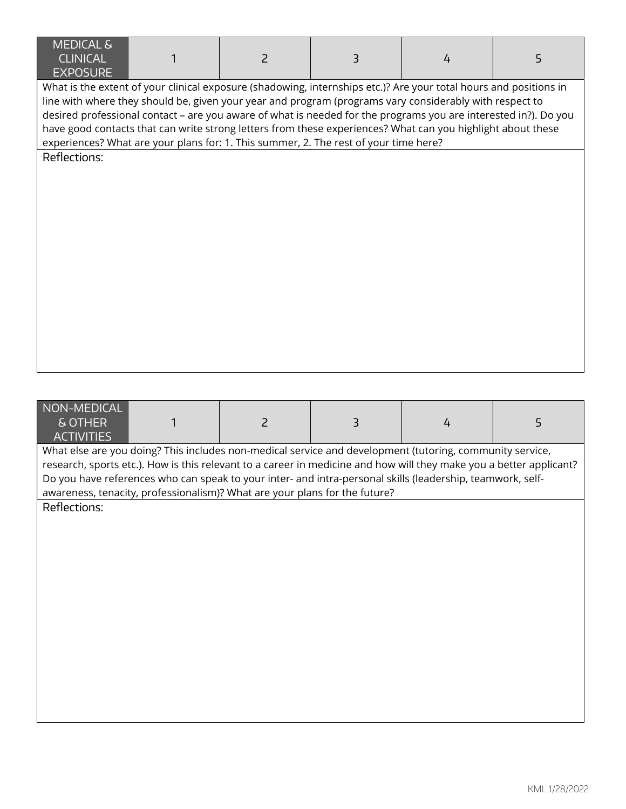| <b>MEDICAL &amp;</b><br><b>CLINICAL</b><br><b>EXPOSURE</b> | $\overline{c}$ | 3                                                                                                                 | 4 | 5 |
|------------------------------------------------------------|----------------|-------------------------------------------------------------------------------------------------------------------|---|---|
|                                                            |                | What is the extent of your clinical exposure (shadowing, internships etc.)? Are your total hours and positions in |   |   |
|                                                            |                | line with where they should be, given your year and program (programs vary considerably with respect to           |   |   |
|                                                            |                | desired professional contact - are you aware of what is needed for the programs you are interested in?). Do you   |   |   |
|                                                            |                | have good contacts that can write strong letters from these experiences? What can you highlight about these       |   |   |
|                                                            |                | experiences? What are your plans for: 1. This summer, 2. The rest of your time here?                              |   |   |
| Reflections:                                               |                |                                                                                                                   |   |   |
|                                                            |                |                                                                                                                   |   |   |
|                                                            |                |                                                                                                                   |   |   |
|                                                            |                |                                                                                                                   |   |   |
|                                                            |                |                                                                                                                   |   |   |
|                                                            |                |                                                                                                                   |   |   |
|                                                            |                |                                                                                                                   |   |   |
|                                                            |                |                                                                                                                   |   |   |
|                                                            |                |                                                                                                                   |   |   |
|                                                            |                |                                                                                                                   |   |   |
|                                                            |                |                                                                                                                   |   |   |
|                                                            |                |                                                                                                                   |   |   |
|                                                            |                |                                                                                                                   |   |   |
|                                                            |                |                                                                                                                   |   |   |
|                                                            |                |                                                                                                                   |   |   |
|                                                            |                |                                                                                                                   |   |   |
| NON-MEDICAL                                                |                |                                                                                                                   |   |   |
| & OTHER                                                    | $\overline{c}$ | 3                                                                                                                 | 4 | 5 |

**ACTIVITIES** What else are you doing? This includes non-medical service and development (tutoring, community service, research, sports etc.). How is this relevant to a career in medicine and how will they make you a better applicant? Do you have references who can speak to your inter- and intra-personal skills (leadership, teamwork, selfawareness, tenacity, professionalism)? What are your plans for the future?

Reflections: